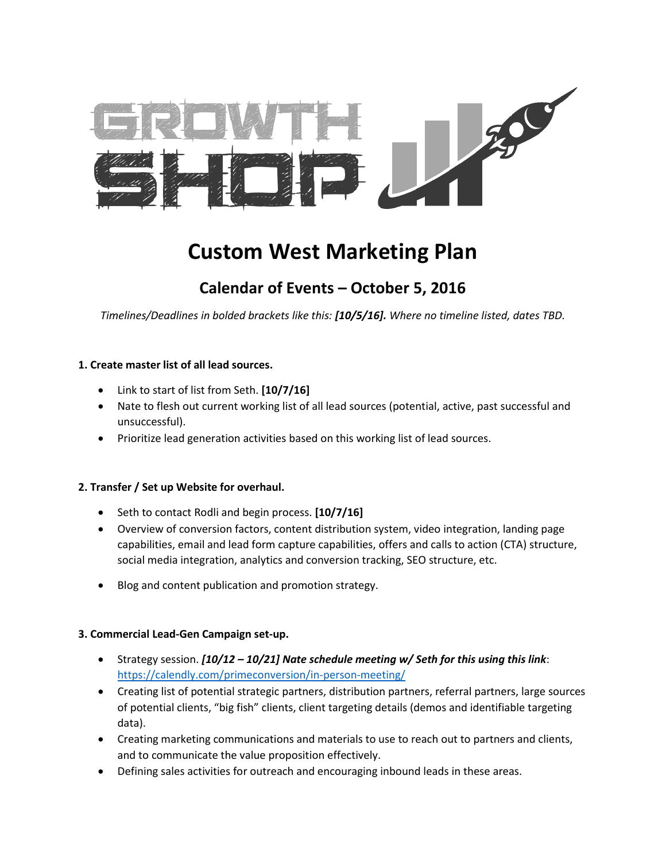

# **Custom West Marketing Plan**

# **Calendar of Events – October 5, 2016**

*Timelines/Deadlines in bolded brackets like this: [10/5/16]. Where no timeline listed, dates TBD.*

## **1. Create master list of all lead sources.**

- Link to start of list from Seth. **[10/7/16]**
- Nate to flesh out current working list of all lead sources (potential, active, past successful and unsuccessful).
- Prioritize lead generation activities based on this working list of lead sources.

#### **2. Transfer / Set up Website for overhaul.**

- Seth to contact Rodli and begin process. **[10/7/16]**
- Overview of conversion factors, content distribution system, video integration, landing page capabilities, email and lead form capture capabilities, offers and calls to action (CTA) structure, social media integration, analytics and conversion tracking, SEO structure, etc.
- Blog and content publication and promotion strategy.

#### **3. Commercial Lead-Gen Campaign set-up.**

- Strategy session. *[10/12 – 10/21] Nate schedule meeting w/ Seth for this using this link*: <https://calendly.com/primeconversion/in-person-meeting/>
- Creating list of potential strategic partners, distribution partners, referral partners, large sources of potential clients, "big fish" clients, client targeting details (demos and identifiable targeting data).
- Creating marketing communications and materials to use to reach out to partners and clients, and to communicate the value proposition effectively.
- Defining sales activities for outreach and encouraging inbound leads in these areas.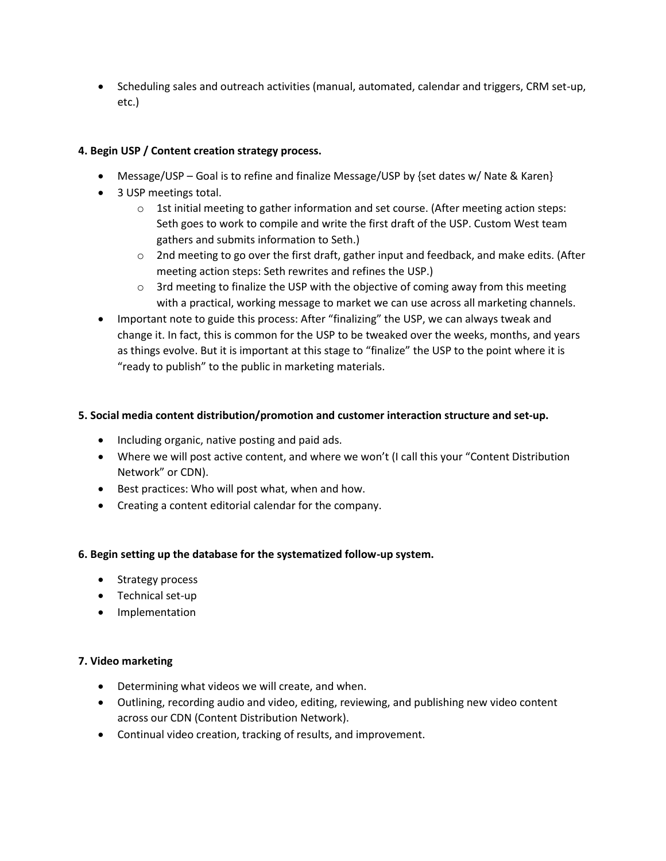• Scheduling sales and outreach activities (manual, automated, calendar and triggers, CRM set-up, etc.)

# **4. Begin USP / Content creation strategy process.**

- Message/USP Goal is to refine and finalize Message/USP by {set dates w/ Nate & Karen}
- 3 USP meetings total.
	- $\circ$  1st initial meeting to gather information and set course. (After meeting action steps: Seth goes to work to compile and write the first draft of the USP. Custom West team gathers and submits information to Seth.)
	- $\circ$  2nd meeting to go over the first draft, gather input and feedback, and make edits. (After meeting action steps: Seth rewrites and refines the USP.)
	- $\circ$  3rd meeting to finalize the USP with the objective of coming away from this meeting with a practical, working message to market we can use across all marketing channels.
- Important note to guide this process: After "finalizing" the USP, we can always tweak and change it. In fact, this is common for the USP to be tweaked over the weeks, months, and years as things evolve. But it is important at this stage to "finalize" the USP to the point where it is "ready to publish" to the public in marketing materials.

# **5. Social media content distribution/promotion and customer interaction structure and set-up.**

- Including organic, native posting and paid ads.
- Where we will post active content, and where we won't (I call this your "Content Distribution Network" or CDN).
- Best practices: Who will post what, when and how.
- Creating a content editorial calendar for the company.

# **6. Begin setting up the database for the systematized follow-up system.**

- Strategy process
- Technical set-up
- **•** Implementation

# **7. Video marketing**

- Determining what videos we will create, and when.
- Outlining, recording audio and video, editing, reviewing, and publishing new video content across our CDN (Content Distribution Network).
- Continual video creation, tracking of results, and improvement.